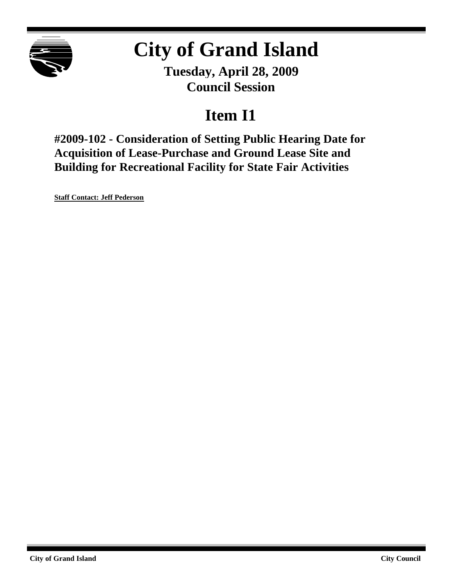

# **City of Grand Island**

**Tuesday, April 28, 2009 Council Session**

## **Item I1**

**#2009-102 - Consideration of Setting Public Hearing Date for Acquisition of Lease-Purchase and Ground Lease Site and Building for Recreational Facility for State Fair Activities**

**Staff Contact: Jeff Pederson**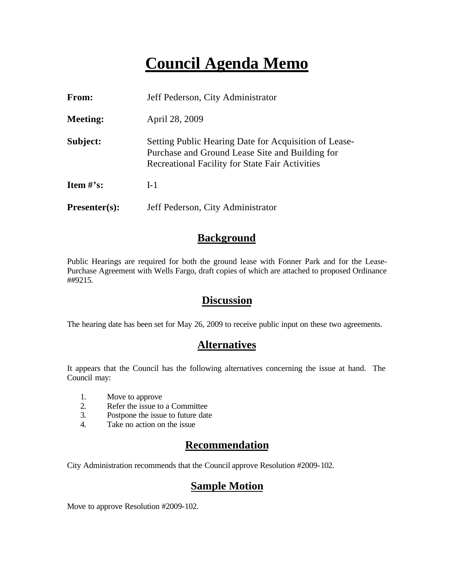### **Council Agenda Memo**

| From:           | Jeff Pederson, City Administrator                                                                                                                           |
|-----------------|-------------------------------------------------------------------------------------------------------------------------------------------------------------|
| <b>Meeting:</b> | April 28, 2009                                                                                                                                              |
| Subject:        | Setting Public Hearing Date for Acquisition of Lease-<br>Purchase and Ground Lease Site and Building for<br>Recreational Facility for State Fair Activities |
| Item $\#$ 's:   | $I-1$                                                                                                                                                       |
| $Presenter(s):$ | Jeff Pederson, City Administrator                                                                                                                           |

#### **Background**

Public Hearings are required for both the ground lease with Fonner Park and for the Lease-Purchase Agreement with Wells Fargo, draft copies of which are attached to proposed Ordinance ##9215.

#### **Discussion**

The hearing date has been set for May 26, 2009 to receive public input on these two agreements.

### **Alternatives**

It appears that the Council has the following alternatives concerning the issue at hand. The Council may:

- 1. Move to approve
- 2. Refer the issue to a Committee<br>3. Postpone the issue to future date
- Postpone the issue to future date
- 4. Take no action on the issue

#### **Recommendation**

City Administration recommends that the Council approve Resolution #2009-102.

#### **Sample Motion**

Move to approve Resolution #2009-102.